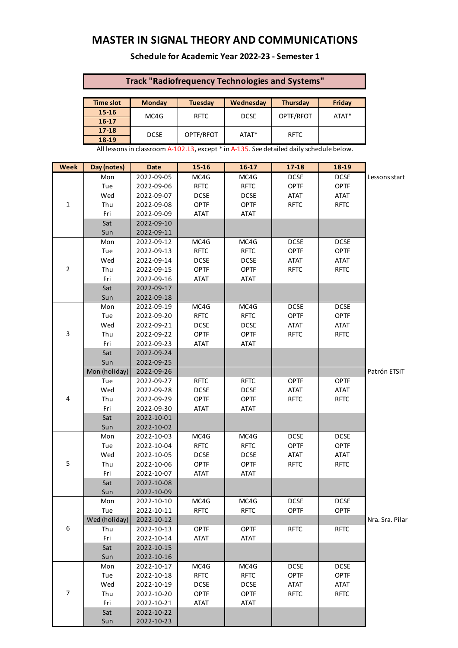# **MASTER IN SIGNAL THEORY AND COMMUNICATIONS**

#### **Schedule for Academic Year 2022-23 - Semester 1**

### **Track "Radiofrequency Technologies and Systems"**

| Time slot | <b>Monday</b> | <b>Tuesday</b> | Wednesday   | <b>Thursday</b> | Friday |  |
|-----------|---------------|----------------|-------------|-----------------|--------|--|
| $15 - 16$ | MC4G          | <b>RFTC</b>    | <b>DCSE</b> | OPTF/RFOT       | ATAT*  |  |
| $16 - 17$ |               |                |             |                 |        |  |
| $17 - 18$ | <b>DCSE</b>   | OPTF/RFOT      | ATAT*       | <b>RFTC</b>     |        |  |
| 18-19     |               |                |             |                 |        |  |

All lessons in classroom A-102.L3, except \* in A-135. See detailed daily schedule below.

| <b>Week</b>      | Day (notes)   | <b>Date</b> | $15 - 16$   | $16-17$     | $17 - 18$   | $18-19$     |                 |
|------------------|---------------|-------------|-------------|-------------|-------------|-------------|-----------------|
|                  | Mon           | 2022-09-05  | MC4G        | MC4G        | <b>DCSE</b> | <b>DCSE</b> | Lessons start   |
|                  | Tue           | 2022-09-06  | <b>RFTC</b> | <b>RFTC</b> | <b>OPTF</b> | <b>OPTF</b> |                 |
|                  | Wed           | 2022-09-07  | <b>DCSE</b> | <b>DCSE</b> | <b>ATAT</b> | <b>ATAT</b> |                 |
| $\mathbf 1$      | Thu           | 2022-09-08  | <b>OPTF</b> | <b>OPTF</b> | <b>RFTC</b> | <b>RFTC</b> |                 |
|                  | Fri           | 2022-09-09  | ATAT        | <b>ATAT</b> |             |             |                 |
|                  | Sat           | 2022-09-10  |             |             |             |             |                 |
|                  | Sun           | 2022-09-11  |             |             |             |             |                 |
|                  | Mon           | 2022-09-12  | MC4G        | MC4G        | <b>DCSE</b> | <b>DCSE</b> |                 |
|                  | Tue           | 2022-09-13  | <b>RFTC</b> | <b>RFTC</b> | <b>OPTF</b> | <b>OPTF</b> |                 |
|                  | Wed           | 2022-09-14  | <b>DCSE</b> | <b>DCSE</b> | <b>ATAT</b> | <b>ATAT</b> |                 |
| $\mathbf 2$      | Thu           | 2022-09-15  | <b>OPTF</b> | <b>OPTF</b> | <b>RFTC</b> | <b>RFTC</b> |                 |
|                  | Fri           | 2022-09-16  | <b>ATAT</b> | <b>ATAT</b> |             |             |                 |
|                  | Sat           | 2022-09-17  |             |             |             |             |                 |
|                  | Sun           | 2022-09-18  |             |             |             |             |                 |
|                  | Mon           | 2022-09-19  | MC4G        | MC4G        | <b>DCSE</b> | <b>DCSE</b> |                 |
|                  | Tue           | 2022-09-20  | <b>RFTC</b> | <b>RFTC</b> | <b>OPTF</b> | <b>OPTF</b> |                 |
|                  | Wed           | 2022-09-21  | <b>DCSE</b> | <b>DCSE</b> | <b>ATAT</b> | <b>ATAT</b> |                 |
| 3                | Thu           | 2022-09-22  | <b>OPTF</b> | <b>OPTF</b> | <b>RFTC</b> | <b>RFTC</b> |                 |
|                  | Fri           | 2022-09-23  | <b>ATAT</b> | <b>ATAT</b> |             |             |                 |
|                  | Sat           | 2022-09-24  |             |             |             |             |                 |
|                  | Sun           | 2022-09-25  |             |             |             |             |                 |
|                  | Mon (holiday) | 2022-09-26  |             |             |             |             | Patrón ETSIT    |
|                  | Tue           | 2022-09-27  | <b>RFTC</b> | <b>RFTC</b> | <b>OPTF</b> | <b>OPTF</b> |                 |
|                  | Wed           | 2022-09-28  | <b>DCSE</b> | <b>DCSE</b> | <b>ATAT</b> | <b>ATAT</b> |                 |
| 4                | Thu           | 2022-09-29  | <b>OPTF</b> | <b>OPTF</b> | <b>RFTC</b> | <b>RFTC</b> |                 |
|                  | Fri           | 2022-09-30  | <b>ATAT</b> | <b>ATAT</b> |             |             |                 |
|                  | Sat           | 2022-10-01  |             |             |             |             |                 |
|                  | Sun           | 2022-10-02  |             |             |             |             |                 |
|                  | Mon           | 2022-10-03  | MC4G        | MC4G        | <b>DCSE</b> | <b>DCSE</b> |                 |
|                  | Tue           | 2022-10-04  | <b>RFTC</b> | <b>RFTC</b> | <b>OPTF</b> | <b>OPTF</b> |                 |
|                  | Wed           | 2022-10-05  | <b>DCSE</b> | <b>DCSE</b> | <b>ATAT</b> | <b>ATAT</b> |                 |
| 5                | Thu           | 2022-10-06  | <b>OPTF</b> | <b>OPTF</b> | <b>RFTC</b> | <b>RFTC</b> |                 |
|                  | Fri           | 2022-10-07  | <b>ATAT</b> | <b>ATAT</b> |             |             |                 |
|                  | Sat           | 2022-10-08  |             |             |             |             |                 |
|                  | Sun           | 2022-10-09  |             |             |             |             |                 |
|                  | Mon           | 2022-10-10  | MC4G        | MC4G        | <b>DCSE</b> | <b>DCSE</b> |                 |
|                  | Tue           | 2022-10-11  | <b>RFTC</b> | <b>RFTC</b> | <b>OPTF</b> | <b>OPTF</b> |                 |
|                  | Wed (holiday) | 2022-10-12  |             |             |             |             | Nra. Sra. Pilar |
| $\boldsymbol{6}$ | Thu           | 2022-10-13  | <b>OPTF</b> | <b>OPTF</b> | <b>RFTC</b> | <b>RFTC</b> |                 |
|                  | Fri           | 2022-10-14  | ATAT        | <b>ATAT</b> |             |             |                 |
|                  | Sat           | 2022-10-15  |             |             |             |             |                 |
|                  | Sun           | 2022-10-16  |             |             |             |             |                 |
|                  | Mon           | 2022-10-17  | MC4G        | MC4G        | <b>DCSE</b> | <b>DCSE</b> |                 |
|                  | Tue           | 2022-10-18  | <b>RFTC</b> | <b>RFTC</b> | <b>OPTF</b> | <b>OPTF</b> |                 |
|                  | Wed           | 2022-10-19  | <b>DCSE</b> | <b>DCSE</b> | <b>ATAT</b> | ATAT        |                 |
| $\overline{7}$   | Thu           | 2022-10-20  | <b>OPTF</b> | <b>OPTF</b> | <b>RFTC</b> | <b>RFTC</b> |                 |
|                  | Fri           | 2022-10-21  | ATAT        | <b>ATAT</b> |             |             |                 |
|                  | Sat           | 2022-10-22  |             |             |             |             |                 |
|                  | Sun           | 2022-10-23  |             |             |             |             |                 |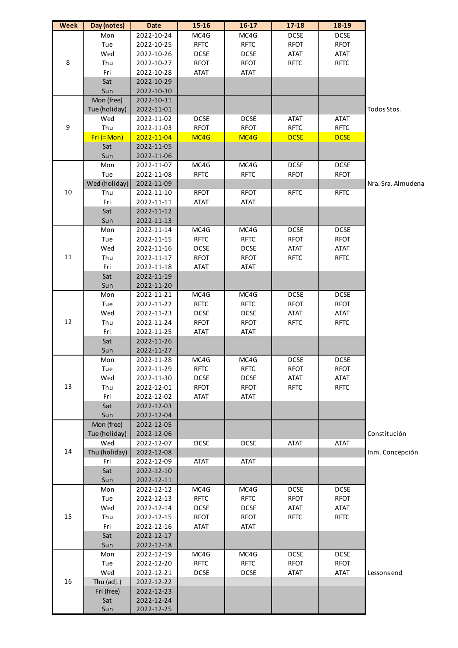| <b>Week</b> | Day (notes)   | <b>Date</b> | $15 - 16$   | $16-17$     | $17 - 18$   | 18-19       |                    |
|-------------|---------------|-------------|-------------|-------------|-------------|-------------|--------------------|
|             | Mon           | 2022-10-24  | MC4G        | MC4G        | <b>DCSE</b> | <b>DCSE</b> |                    |
|             | Tue           | 2022-10-25  | <b>RFTC</b> | <b>RFTC</b> | <b>RFOT</b> | <b>RFOT</b> |                    |
|             | Wed           | 2022-10-26  | <b>DCSE</b> | <b>DCSE</b> | <b>ATAT</b> | ATAT        |                    |
| 8           | Thu           | 2022-10-27  | <b>RFOT</b> | <b>RFOT</b> | <b>RFTC</b> | <b>RFTC</b> |                    |
|             | Fri           | 2022-10-28  | <b>ATAT</b> | <b>ATAT</b> |             |             |                    |
|             | Sat           | 2022-10-29  |             |             |             |             |                    |
|             | Sun           | 2022-10-30  |             |             |             |             |                    |
|             | Mon (free)    | 2022-10-31  |             |             |             |             |                    |
|             | Tue (holiday) | 2022-11-01  |             |             |             |             | Todos Stos.        |
|             | Wed           | 2022-11-02  | <b>DCSE</b> | <b>DCSE</b> | <b>ATAT</b> | <b>ATAT</b> |                    |
| 9           | Thu           | 2022-11-03  | <b>RFOT</b> | <b>RFOT</b> | <b>RFTC</b> | <b>RFTC</b> |                    |
|             | $Fri (= Mon)$ | 2022-11-04  | MC4G        | MC4G        | <b>DCSE</b> | <b>DCSE</b> |                    |
|             | Sat           | 2022-11-05  |             |             |             |             |                    |
|             | Sun           | 2022-11-06  |             |             |             |             |                    |
|             | Mon           | 2022-11-07  | MC4G        | MC4G        | <b>DCSE</b> | <b>DCSE</b> |                    |
|             | Tue           | 2022-11-08  | <b>RFTC</b> | <b>RFTC</b> | <b>RFOT</b> | <b>RFOT</b> |                    |
|             | Wed (holiday) | 2022-11-09  |             |             |             |             | Nra. Sra. Almudena |
| $10\,$      | Thu           | 2022-11-10  | <b>RFOT</b> | <b>RFOT</b> | <b>RFTC</b> | <b>RFTC</b> |                    |
|             | Fri           | 2022-11-11  | <b>ATAT</b> | <b>ATAT</b> |             |             |                    |
|             | Sat           |             |             |             |             |             |                    |
|             |               | 2022-11-12  |             |             |             |             |                    |
|             | Sun           | 2022-11-13  |             |             |             |             |                    |
|             | Mon           | 2022-11-14  | MC4G        | MC4G        | <b>DCSE</b> | <b>DCSE</b> |                    |
|             | Tue           | 2022-11-15  | <b>RFTC</b> | <b>RFTC</b> | <b>RFOT</b> | <b>RFOT</b> |                    |
|             | Wed           | 2022-11-16  | <b>DCSE</b> | <b>DCSE</b> | <b>ATAT</b> | <b>ATAT</b> |                    |
| $11\,$      | Thu           | 2022-11-17  | <b>RFOT</b> | <b>RFOT</b> | <b>RFTC</b> | <b>RFTC</b> |                    |
|             | Fri           | 2022-11-18  | <b>ATAT</b> | <b>ATAT</b> |             |             |                    |
|             | Sat           | 2022-11-19  |             |             |             |             |                    |
|             | Sun           | 2022-11-20  |             |             |             |             |                    |
|             | Mon           | 2022-11-21  | MC4G        | MC4G        | <b>DCSE</b> | <b>DCSE</b> |                    |
|             | Tue           | 2022-11-22  | <b>RFTC</b> | <b>RFTC</b> | <b>RFOT</b> | <b>RFOT</b> |                    |
|             | Wed           | 2022-11-23  | <b>DCSE</b> | <b>DCSE</b> | <b>ATAT</b> | <b>ATAT</b> |                    |
| 12          | Thu           | 2022-11-24  | <b>RFOT</b> | <b>RFOT</b> | <b>RFTC</b> | <b>RFTC</b> |                    |
|             | Fri           | 2022-11-25  | ATAT        | <b>ATAT</b> |             |             |                    |
|             | Sat           | 2022-11-26  |             |             |             |             |                    |
|             | Sun           | 2022-11-27  |             |             |             |             |                    |
|             | Mon           | 2022-11-28  | MC4G        | MC4G        | <b>DCSE</b> | <b>DCSE</b> |                    |
|             | Tue           | 2022-11-29  | <b>RFIC</b> | <b>RFIC</b> | RFOI        | RFOI        |                    |
|             | Wed           | 2022-11-30  | <b>DCSE</b> | <b>DCSE</b> | <b>ATAT</b> | <b>ATAT</b> |                    |
| 13          | Thu           | 2022-12-01  | <b>RFOT</b> | <b>RFOT</b> | <b>RFTC</b> | <b>RFTC</b> |                    |
|             | Fri           | 2022-12-02  | <b>ATAT</b> | <b>ATAT</b> |             |             |                    |
|             | Sat           | 2022-12-03  |             |             |             |             |                    |
|             | Sun           | 2022-12-04  |             |             |             |             |                    |
|             | Mon (free)    | 2022-12-05  |             |             |             |             |                    |
|             | Tue (holiday) | 2022-12-06  |             |             |             |             | Constitución       |
|             | Wed           | 2022-12-07  | <b>DCSE</b> | <b>DCSE</b> | ATAT        | <b>ATAT</b> |                    |
| 14          | Thu (holiday) | 2022-12-08  |             |             |             |             | Inm. Concepción    |
|             | Fri           | 2022-12-09  | <b>ATAT</b> | <b>ATAT</b> |             |             |                    |
|             | Sat           | 2022-12-10  |             |             |             |             |                    |
|             | Sun           | 2022-12-11  |             |             |             |             |                    |
|             | Mon           | 2022-12-12  | MC4G        | MC4G        | <b>DCSE</b> | <b>DCSE</b> |                    |
|             | Tue           | 2022-12-13  | <b>RFTC</b> | <b>RFTC</b> | <b>RFOT</b> | <b>RFOT</b> |                    |
|             | Wed           | 2022-12-14  | <b>DCSE</b> | <b>DCSE</b> | ATAT        | <b>ATAT</b> |                    |
| 15          | Thu           | 2022-12-15  | <b>RFOT</b> | <b>RFOT</b> | <b>RFTC</b> | <b>RFTC</b> |                    |
|             | Fri           | 2022-12-16  | <b>ATAT</b> | <b>ATAT</b> |             |             |                    |
|             | Sat           | 2022-12-17  |             |             |             |             |                    |
|             | Sun           | 2022-12-18  |             |             |             |             |                    |
|             |               |             |             |             |             |             |                    |
|             | Mon           | 2022-12-19  | MC4G        | MC4G        | <b>DCSE</b> | <b>DCSE</b> |                    |
|             | Tue           | 2022-12-20  | <b>RFTC</b> | <b>RFTC</b> | <b>RFOT</b> | <b>RFOT</b> |                    |
|             | Wed           | 2022-12-21  | <b>DCSE</b> | <b>DCSE</b> | ATAT        | <b>ATAT</b> | Lessons end        |
| 16          | Thu (adj.)    | 2022-12-22  |             |             |             |             |                    |
|             | Fri (free)    | 2022-12-23  |             |             |             |             |                    |
|             | Sat           | 2022-12-24  |             |             |             |             |                    |
|             | Sun           | 2022-12-25  |             |             |             |             |                    |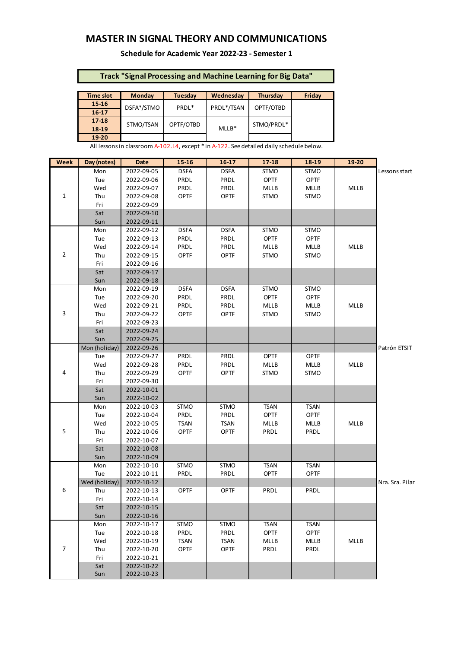## **MASTER IN SIGNAL THEORY AND COMMUNICATIONS**

**Schedule for Academic Year 2022-23 - Semester 1**

### **Track "Signal Processing and Machine Learning for Big Data"**

| <b>Time slot</b> | <b>Monday</b> | Wednesdav<br><b>Tuesday</b> |            | Thursday   | Friday |
|------------------|---------------|-----------------------------|------------|------------|--------|
| $15 - 16$        | DSFA*/STMO    | PRDL*                       | PRDL*/TSAN | OPTF/OTBD  |        |
| $16-17$          |               |                             |            |            |        |
| $17 - 18$        | STMO/TSAN     | OPTF/OTBD                   |            | STMO/PRDL* |        |
| 18-19            |               |                             | $MLLB*$    |            |        |
| 19-20            |               |                             |            |            |        |

All lessons in classroom A-102.L4, except \* in A-122. See detailed daily schedule below.

| <b>Week</b>    | Day (notes)   | <b>Date</b> | $15 - 16$   | $16-17$     | 17-18       | $18-19$     | 19-20       |                 |
|----------------|---------------|-------------|-------------|-------------|-------------|-------------|-------------|-----------------|
|                | Mon           | 2022-09-05  | <b>DSFA</b> | <b>DSFA</b> | <b>STMO</b> | STMO        |             | Lessons start   |
|                | Tue           | 2022-09-06  | PRDL        | PRDL        | OPTF        | <b>OPTF</b> |             |                 |
|                | Wed           | 2022-09-07  | PRDL        | PRDL        | MLLB        | MLLB        | MLLB        |                 |
| 1              | Thu           | 2022-09-08  | OPTF        | <b>OPTF</b> | <b>STMO</b> | <b>STMO</b> |             |                 |
|                | Fri           | 2022-09-09  |             |             |             |             |             |                 |
|                | Sat           | 2022-09-10  |             |             |             |             |             |                 |
|                | Sun           | 2022-09-11  |             |             |             |             |             |                 |
|                | Mon           | 2022-09-12  | <b>DSFA</b> | <b>DSFA</b> | <b>STMO</b> | <b>STMO</b> |             |                 |
|                | Tue           | 2022-09-13  | PRDL        | PRDL        | <b>OPTF</b> | <b>OPTF</b> |             |                 |
|                | Wed           | 2022-09-14  | PRDL        | PRDL        | MLLB        | MLLB        | <b>MLLB</b> |                 |
| $\overline{2}$ | Thu           | 2022-09-15  | OPTF        | OPTF        | <b>STMO</b> | STMO        |             |                 |
|                | Fri           | 2022-09-16  |             |             |             |             |             |                 |
|                | Sat           | 2022-09-17  |             |             |             |             |             |                 |
|                | Sun           | 2022-09-18  |             |             |             |             |             |                 |
|                | Mon           | 2022-09-19  | <b>DSFA</b> | <b>DSFA</b> | <b>STMO</b> | <b>STMO</b> |             |                 |
|                | Tue           | 2022-09-20  | PRDL        | PRDL        | <b>OPTF</b> | <b>OPTF</b> |             |                 |
|                | Wed           | 2022-09-21  | PRDL        | PRDL        | MLLB        | MLLB        | <b>MLLB</b> |                 |
| 3              | Thu           | 2022-09-22  | OPTF        | OPTF        | STMO        | STMO        |             |                 |
|                | Fri           | 2022-09-23  |             |             |             |             |             |                 |
|                | Sat           | 2022-09-24  |             |             |             |             |             |                 |
|                | Sun           | 2022-09-25  |             |             |             |             |             |                 |
|                | Mon (holiday) | 2022-09-26  |             |             |             |             |             | Patrón ETSIT    |
|                | Tue           | 2022-09-27  | PRDL        | PRDL        | <b>OPTF</b> | <b>OPTF</b> |             |                 |
|                | Wed           | 2022-09-28  | PRDL        | PRDL        | MLLB        | MLLB        | <b>MLLB</b> |                 |
| 4              | Thu           | 2022-09-29  | OPTF        | OPTF        | STMO        | STMO        |             |                 |
|                | Fri           | 2022-09-30  |             |             |             |             |             |                 |
|                | Sat           | 2022-10-01  |             |             |             |             |             |                 |
|                | Sun           | 2022-10-02  |             |             |             |             |             |                 |
|                | Mon           | 2022-10-03  | <b>STMO</b> | <b>STMO</b> | <b>TSAN</b> | <b>TSAN</b> |             |                 |
|                | Tue           | 2022-10-04  | PRDL        | PRDL        | <b>OPTF</b> | <b>OPTF</b> |             |                 |
|                | Wed           | 2022-10-05  | <b>TSAN</b> | <b>TSAN</b> | MLLB        | <b>MLLB</b> | <b>MLLB</b> |                 |
| 5              | Thu           | 2022-10-06  | OPTF        | <b>OPTF</b> | PRDL        | PRDL        |             |                 |
|                | Fri           | 2022-10-07  |             |             |             |             |             |                 |
|                | Sat           | 2022-10-08  |             |             |             |             |             |                 |
|                | Sun           | 2022-10-09  |             |             |             |             |             |                 |
|                | Mon           | 2022-10-10  | <b>STMO</b> | STMO        | <b>TSAN</b> | <b>TSAN</b> |             |                 |
|                | Tue           | 2022-10-11  | PRDL        | PRDL        | <b>OPTF</b> | <b>OPTF</b> |             |                 |
|                | Wed (holiday) | 2022-10-12  |             |             |             |             |             | Nra. Sra. Pilar |
| 6              | Thu           | 2022-10-13  | <b>OPTF</b> | <b>OPTF</b> | PRDL        | PRDL        |             |                 |
|                | Fri           | 2022-10-14  |             |             |             |             |             |                 |
|                | Sat           | 2022-10-15  |             |             |             |             |             |                 |
|                | Sun           | 2022-10-16  |             |             |             |             |             |                 |
|                | Mon           | 2022-10-17  | <b>STMO</b> | <b>STMO</b> | <b>TSAN</b> | <b>TSAN</b> |             |                 |
|                | Tue           | 2022-10-18  | PRDL        | PRDL        | <b>OPTF</b> | <b>OPTF</b> |             |                 |
|                | Wed           | 2022-10-19  | <b>TSAN</b> | <b>TSAN</b> | MLLB        | MLLB        | MLLB        |                 |
| 7              | Thu           | 2022-10-20  | <b>OPTF</b> | <b>OPTF</b> | PRDL        | PRDL        |             |                 |
|                | Fri           | 2022-10-21  |             |             |             |             |             |                 |
|                | Sat           | 2022-10-22  |             |             |             |             |             |                 |
|                | Sun           | 2022-10-23  |             |             |             |             |             |                 |